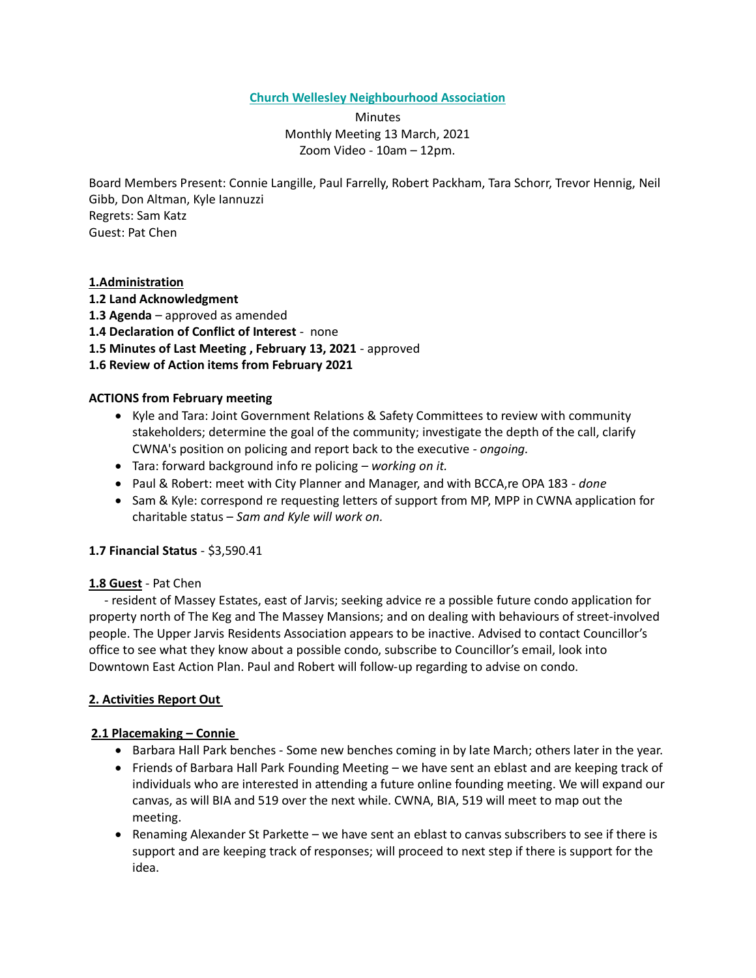## **Church Wellesley Neighbourhood Association**

**Minutes** Monthly Meeting 13 March, 2021 Zoom Video - 10am – 12pm.

Board Members Present: Connie Langille, Paul Farrelly, Robert Packham, Tara Schorr, Trevor Hennig, Neil Gibb, Don Altman, Kyle Iannuzzi Regrets: Sam Katz Guest: Pat Chen

# **1.Administration**

- **1.2 Land Acknowledgment**
- **1.3 Agenda** approved as amended
- **1.4 Declaration of Conflict of Interest** none
- **1.5 Minutes of Last Meeting , February 13, 2021** approved
- **1.6 Review of Action items from February 2021**

## **ACTIONS from February meeting**

- Kyle and Tara: Joint Government Relations & Safety Committees to review with community stakeholders; determine the goal of the community; investigate the depth of the call, clarify CWNA's position on policing and report back to the executive *- ongoing.*
- Tara: forward background info re policing *– working on it.*
- Paul & Robert: meet with City Planner and Manager, and with BCCA,re OPA 183 *- done*
- Sam & Kyle: correspond re requesting letters of support from MP, MPP in CWNA application for charitable status – *Sam and Kyle will work on.*

## **1.7 Financial Status** - \$3,590.41

## **1.8 Guest** - Pat Chen

 - resident of Massey Estates, east of Jarvis; seeking advice re a possible future condo application for property north of The Keg and The Massey Mansions; and on dealing with behaviours of street-involved people. The Upper Jarvis Residents Association appears to be inactive. Advised to contact Councillor's office to see what they know about a possible condo, subscribe to Councillor's email, look into Downtown East Action Plan. Paul and Robert will follow-up regarding to advise on condo.

## **2. Activities Report Out**

## **2.1 Placemaking – Connie**

- Barbara Hall Park benches Some new benches coming in by late March; others later in the year.
- Friends of Barbara Hall Park Founding Meeting we have sent an eblast and are keeping track of individuals who are interested in attending a future online founding meeting. We will expand our canvas, as will BIA and 519 over the next while. CWNA, BIA, 519 will meet to map out the meeting.
- Renaming Alexander St Parkette we have sent an eblast to canvas subscribers to see if there is support and are keeping track of responses; will proceed to next step if there is support for the idea.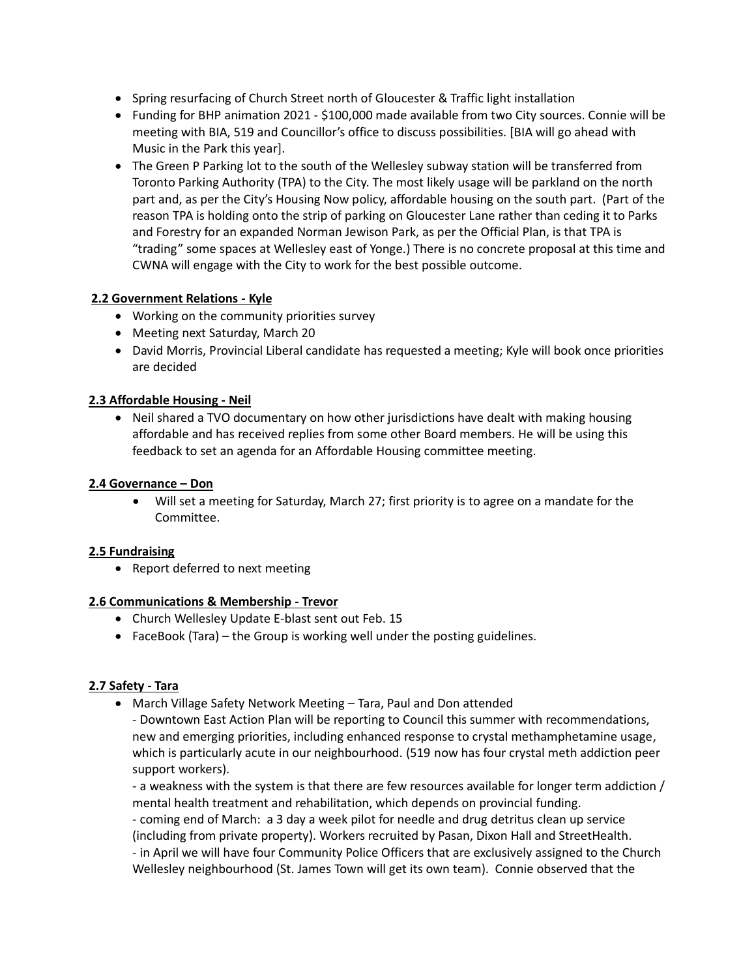- Spring resurfacing of Church Street north of Gloucester & Traffic light installation
- Funding for BHP animation 2021 \$100,000 made available from two City sources. Connie will be meeting with BIA, 519 and Councillor's office to discuss possibilities. [BIA will go ahead with Music in the Park this year].
- The Green P Parking lot to the south of the Wellesley subway station will be transferred from Toronto Parking Authority (TPA) to the City. The most likely usage will be parkland on the north part and, as per the City's Housing Now policy, affordable housing on the south part. (Part of the reason TPA is holding onto the strip of parking on Gloucester Lane rather than ceding it to Parks and Forestry for an expanded Norman Jewison Park, as per the Official Plan, is that TPA is "trading" some spaces at Wellesley east of Yonge.) There is no concrete proposal at this time and CWNA will engage with the City to work for the best possible outcome.

# **2.2 Government Relations - Kyle**

- Working on the community priorities survey
- Meeting next Saturday, March 20
- David Morris, Provincial Liberal candidate has requested a meeting; Kyle will book once priorities are decided

## **2.3 Affordable Housing - Neil**

• Neil shared a TVO documentary on how other jurisdictions have dealt with making housing affordable and has received replies from some other Board members. He will be using this feedback to set an agenda for an Affordable Housing committee meeting.

#### **2.4 Governance – Don**

• Will set a meeting for Saturday, March 27; first priority is to agree on a mandate for the Committee.

## **2.5 Fundraising**

• Report deferred to next meeting

## **2.6 Communications & Membership - Trevor**

- Church Wellesley Update E-blast sent out Feb. 15
- FaceBook (Tara) the Group is working well under the posting guidelines.

## **2.7 Safety - Tara**

• March Village Safety Network Meeting – Tara, Paul and Don attended

- Downtown East Action Plan will be reporting to Council this summer with recommendations, new and emerging priorities, including enhanced response to crystal methamphetamine usage, which is particularly acute in our neighbourhood. (519 now has four crystal meth addiction peer support workers).

- a weakness with the system is that there are few resources available for longer term addiction / mental health treatment and rehabilitation, which depends on provincial funding.

- coming end of March: a 3 day a week pilot for needle and drug detritus clean up service (including from private property). Workers recruited by Pasan, Dixon Hall and StreetHealth. - in April we will have four Community Police Officers that are exclusively assigned to the Church Wellesley neighbourhood (St. James Town will get its own team). Connie observed that the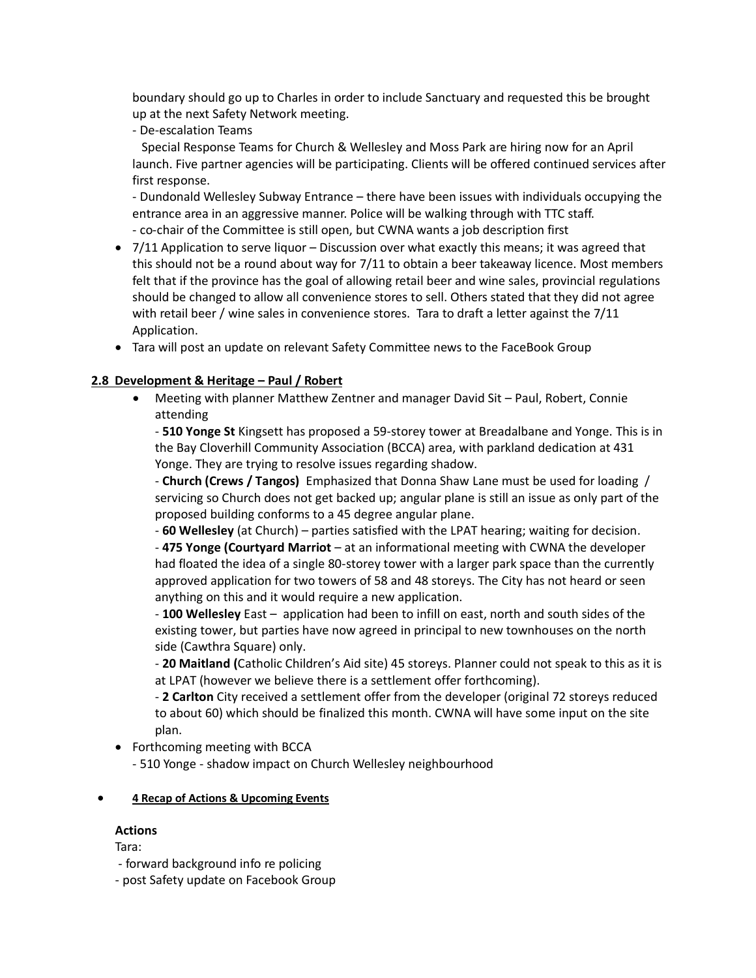boundary should go up to Charles in order to include Sanctuary and requested this be brought up at the next Safety Network meeting.

- De-escalation Teams

 Special Response Teams for Church & Wellesley and Moss Park are hiring now for an April launch. Five partner agencies will be participating. Clients will be offered continued services after first response.

- Dundonald Wellesley Subway Entrance – there have been issues with individuals occupying the entrance area in an aggressive manner. Police will be walking through with TTC staff.

- co-chair of the Committee is still open, but CWNA wants a job description first

- 7/11 Application to serve liquor Discussion over what exactly this means; it was agreed that this should not be a round about way for 7/11 to obtain a beer takeaway licence. Most members felt that if the province has the goal of allowing retail beer and wine sales, provincial regulations should be changed to allow all convenience stores to sell. Others stated that they did not agree with retail beer / wine sales in convenience stores. Tara to draft a letter against the 7/11 Application.
- Tara will post an update on relevant Safety Committee news to the FaceBook Group

# **2.8 Development & Heritage – Paul / Robert**

• Meeting with planner Matthew Zentner and manager David Sit – Paul, Robert, Connie attending

- **510 Yonge St** Kingsett has proposed a 59-storey tower at Breadalbane and Yonge. This is in the Bay Cloverhill Community Association (BCCA) area, with parkland dedication at 431 Yonge. They are trying to resolve issues regarding shadow.

- **Church (Crews / Tangos)** Emphasized that Donna Shaw Lane must be used for loading / servicing so Church does not get backed up; angular plane is still an issue as only part of the proposed building conforms to a 45 degree angular plane.

- **60 Wellesley** (at Church) – parties satisfied with the LPAT hearing; waiting for decision.

- **475 Yonge (Courtyard Marriot** – at an informational meeting with CWNA the developer had floated the idea of a single 80-storey tower with a larger park space than the currently approved application for two towers of 58 and 48 storeys. The City has not heard or seen anything on this and it would require a new application.

- **100 Wellesley** East – application had been to infill on east, north and south sides of the existing tower, but parties have now agreed in principal to new townhouses on the north side (Cawthra Square) only.

- **20 Maitland (**Catholic Children's Aid site) 45 storeys. Planner could not speak to this as it is at LPAT (however we believe there is a settlement offer forthcoming).

- **2 Carlton** City received a settlement offer from the developer (original 72 storeys reduced to about 60) which should be finalized this month. CWNA will have some input on the site plan.

• Forthcoming meeting with BCCA

- 510 Yonge - shadow impact on Church Wellesley neighbourhood

## • **4 Recap of Actions & Upcoming Events**

## **Actions**

Tara:

- forward background info re policing

- post Safety update on Facebook Group